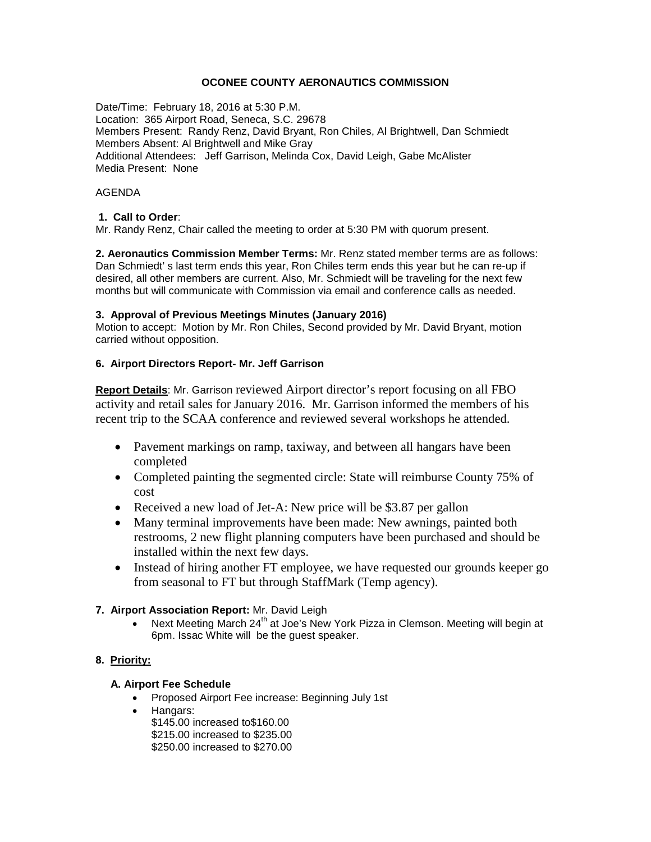# **OCONEE COUNTY AERONAUTICS COMMISSION**

Date/Time: February 18, 2016 at 5:30 P.M. Location: 365 Airport Road, Seneca, S.C. 29678 Members Present: Randy Renz, David Bryant, Ron Chiles, Al Brightwell, Dan Schmiedt Members Absent: Al Brightwell and Mike Gray Additional Attendees: Jeff Garrison, Melinda Cox, David Leigh, Gabe McAlister Media Present: None

## AGENDA

## **1. Call to Order**:

Mr. Randy Renz, Chair called the meeting to order at 5:30 PM with quorum present.

**2. Aeronautics Commission Member Terms:** Mr. Renz stated member terms are as follows: Dan Schmiedt' s last term ends this year, Ron Chiles term ends this year but he can re-up if desired, all other members are current. Also, Mr. Schmiedt will be traveling for the next few months but will communicate with Commission via email and conference calls as needed.

### **3. Approval of Previous Meetings Minutes (January 2016)**

Motion to accept: Motion by Mr. Ron Chiles, Second provided by Mr. David Bryant, motion carried without opposition.

### **6. Airport Directors Report- Mr. Jeff Garrison**

**Report Details**: Mr. Garrison reviewed Airport director's report focusing on all FBO activity and retail sales for January 2016. Mr. Garrison informed the members of his recent trip to the SCAA conference and reviewed several workshops he attended.

- Pavement markings on ramp, taxiway, and between all hangars have been completed
- Completed painting the segmented circle: State will reimburse County 75% of cost
- Received a new load of Jet-A: New price will be \$3.87 per gallon
- Many terminal improvements have been made: New awnings, painted both restrooms, 2 new flight planning computers have been purchased and should be installed within the next few days.
- Instead of hiring another FT employee, we have requested our grounds keeper go from seasonal to FT but through StaffMark (Temp agency).

# **7. Airport Association Report:** Mr. David Leigh

• Next Meeting March 24<sup>th</sup> at Joe's New York Pizza in Clemson. Meeting will begin at 6pm. Issac White will be the guest speaker.

# **8. Priority:**

# **A. Airport Fee Schedule**

- Proposed Airport Fee increase: Beginning July 1st
- Hangars:
	- \$145.00 increased to\$160.00 \$215.00 increased to \$235.00 \$250.00 increased to \$270.00